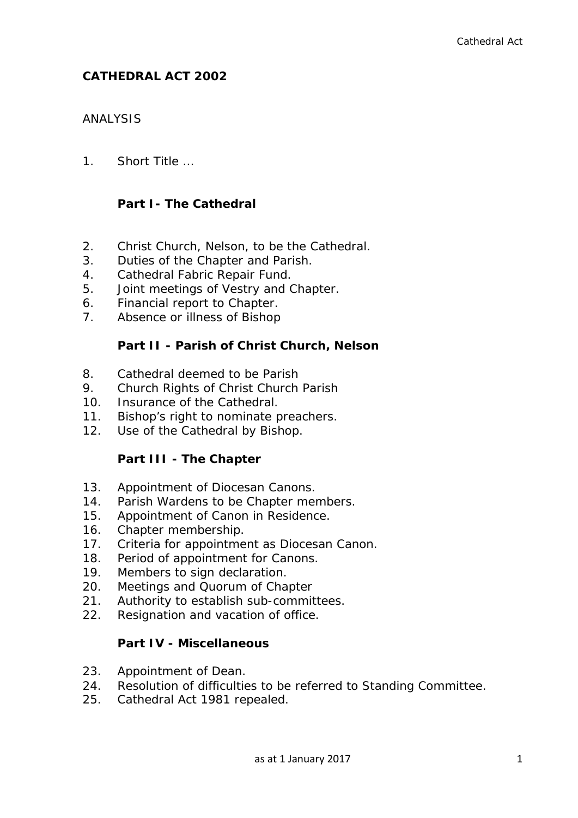# **CATHEDRAL ACT 2002**

# ANALYSIS

1. Short Title

# **Part I- The Cathedral**

- 2. Christ Church, Nelson, to be the Cathedral.
- 3. Duties of the Chapter and Parish.
- 4. Cathedral Fabric Repair Fund.
- 5. Joint meetings of Vestry and Chapter.
- 6. Financial report to Chapter.
- 7. Absence or illness of Bishop

# **Part II - Parish of Christ Church, Nelson**

- 8. Cathedral deemed to be Parish
- 9. Church Rights of Christ Church Parish
- 10. Insurance of the Cathedral.
- 11. Bishop's right to nominate preachers.
- 12. Use of the Cathedral by Bishop.

# **Part III - The Chapter**

- 13. Appointment of Diocesan Canons.
- 14. Parish Wardens to be Chapter members.
- 15. Appointment of Canon in Residence.
- 16. Chapter membership.
- 17. Criteria for appointment as Diocesan Canon.
- 18. Period of appointment for Canons.
- 19. Members to sign declaration.
- 20. Meetings and Quorum of Chapter
- 21. Authority to establish sub-committees.
- 22. Resignation and vacation of office.

# **Part IV - Miscellaneous**

- 23. Appointment of Dean.
- 24. Resolution of difficulties to be referred to Standing Committee.
- 25. Cathedral Act 1981 repealed.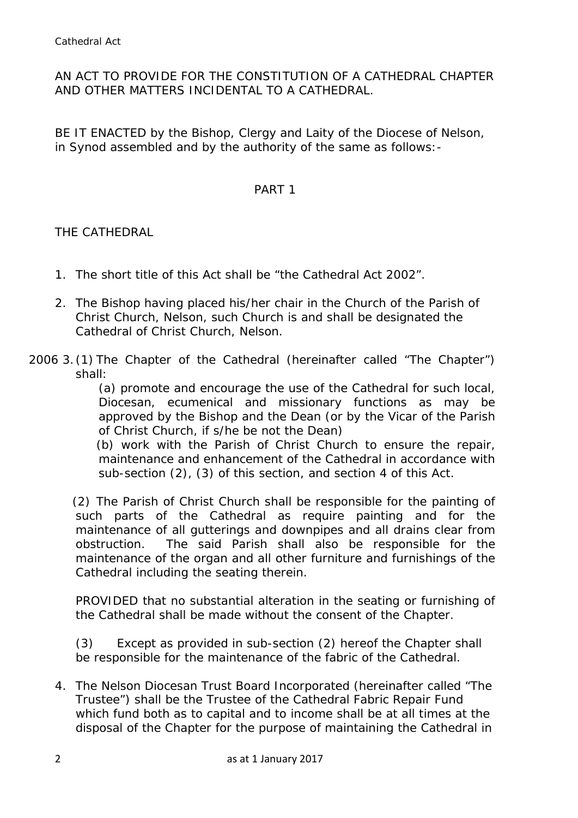# AN ACT TO PROVIDE FOR THE CONSTITUTION OF A CATHEDRAL CHAPTER AND OTHER MATTERS INCIDENTAL TO A CATHEDRAL.

BE IT ENACTED by the Bishop, Clergy and Laity of the Diocese of Nelson, in Synod assembled and by the authority of the same as follows:-

#### PART 1

THE CATHEDRAL

- 1. The short title of this Act shall be "the Cathedral Act 2002".
- 2. The Bishop having placed his/her chair in the Church of the Parish of Christ Church, Nelson, such Church is and shall be designated the Cathedral of Christ Church, Nelson.
- 2006 3. (1) The Chapter of the Cathedral (hereinafter called "The Chapter") shall:

(a) promote and encourage the use of the Cathedral for such local, Diocesan, ecumenical and missionary functions as may be approved by the Bishop and the Dean (or by the Vicar of the Parish of Christ Church, if s/he be not the Dean)

(b) work with the Parish of Christ Church to ensure the repair, maintenance and enhancement of the Cathedral in accordance with sub-section (2), (3) of this section, and section 4 of this Act.

(2) The Parish of Christ Church shall be responsible for the painting of such parts of the Cathedral as require painting and for the maintenance of all gutterings and downpipes and all drains clear from obstruction. The said Parish shall also be responsible for the maintenance of the organ and all other furniture and furnishings of the Cathedral including the seating therein.

PROVIDED that no substantial alteration in the seating or furnishing of the Cathedral shall be made without the consent of the Chapter.

(3) Except as provided in sub-section (2) hereof the Chapter shall be responsible for the maintenance of the fabric of the Cathedral.

4. The Nelson Diocesan Trust Board Incorporated (hereinafter called "The Trustee") shall be the Trustee of the Cathedral Fabric Repair Fund which fund both as to capital and to income shall be at all times at the disposal of the Chapter for the purpose of maintaining the Cathedral in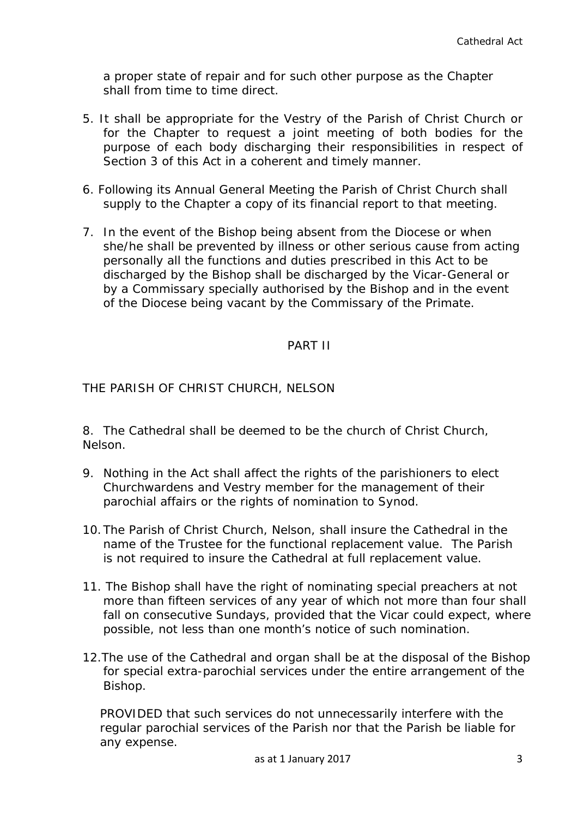a proper state of repair and for such other purpose as the Chapter shall from time to time direct.

- 5. It shall be appropriate for the Vestry of the Parish of Christ Church or for the Chapter to request a joint meeting of both bodies for the purpose of each body discharging their responsibilities in respect of Section 3 of this Act in a coherent and timely manner.
- 6. Following its Annual General Meeting the Parish of Christ Church shall supply to the Chapter a copy of its financial report to that meeting.
- 7. In the event of the Bishop being absent from the Diocese or when she/he shall be prevented by illness or other serious cause from acting personally all the functions and duties prescribed in this Act to be discharged by the Bishop shall be discharged by the Vicar-General or by a Commissary specially authorised by the Bishop and in the event of the Diocese being vacant by the Commissary of the Primate.

# PART II

THE PARISH OF CHRIST CHURCH, NELSON

8. The Cathedral shall be deemed to be the church of Christ Church, Nelson.

- 9. Nothing in the Act shall affect the rights of the parishioners to elect Churchwardens and Vestry member for the management of their parochial affairs or the rights of nomination to Synod.
- 10.The Parish of Christ Church, Nelson, shall insure the Cathedral in the name of the Trustee for the functional replacement value. The Parish is not required to insure the Cathedral at full replacement value.
- 11. The Bishop shall have the right of nominating special preachers at not more than fifteen services of any year of which not more than four shall fall on consecutive Sundays, provided that the Vicar could expect, where possible, not less than one month's notice of such nomination.
- 12.The use of the Cathedral and organ shall be at the disposal of the Bishop for special extra-parochial services under the entire arrangement of the Bishop.

PROVIDED that such services do not unnecessarily interfere with the regular parochial services of the Parish nor that the Parish be liable for any expense.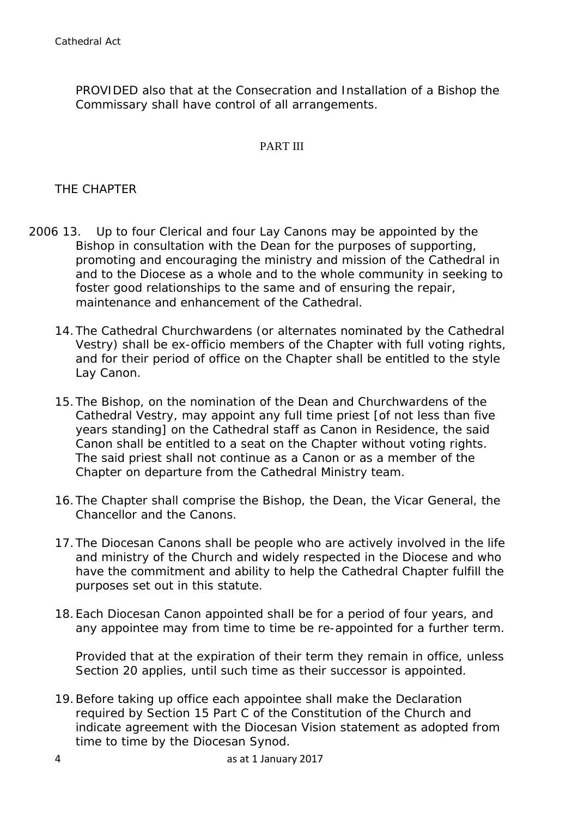PROVIDED also that at the Consecration and Installation of a Bishop the Commissary shall have control of all arrangements.

# PART III

# THE CHAPTER

- 2006 13. Up to four Clerical and four Lay Canons may be appointed by the Bishop in consultation with the Dean for the purposes of supporting, promoting and encouraging the ministry and mission of the Cathedral in and to the Diocese as a whole and to the whole community in seeking to foster good relationships to the same and of ensuring the repair, maintenance and enhancement of the Cathedral.
	- 14.The Cathedral Churchwardens (or alternates nominated by the Cathedral Vestry) shall be ex-officio members of the Chapter with full voting rights, and for their period of office on the Chapter shall be entitled to the style Lay Canon.
	- 15.The Bishop, on the nomination of the Dean and Churchwardens of the Cathedral Vestry, may appoint any full time priest [of not less than five years standing] on the Cathedral staff as Canon in Residence, the said Canon shall be entitled to a seat on the Chapter without voting rights. The said priest shall not continue as a Canon or as a member of the Chapter on departure from the Cathedral Ministry team.
	- 16.The Chapter shall comprise the Bishop, the Dean, the Vicar General, the Chancellor and the Canons.
	- 17.The Diocesan Canons shall be people who are actively involved in the life and ministry of the Church and widely respected in the Diocese and who have the commitment and ability to help the Cathedral Chapter fulfill the purposes set out in this statute.
	- 18.Each Diocesan Canon appointed shall be for a period of four years, and any appointee may from time to time be re-appointed for a further term.

Provided that at the expiration of their term they remain in office, unless Section 20 applies, until such time as their successor is appointed.

19.Before taking up office each appointee shall make the Declaration required by Section 15 Part C of the Constitution of the Church and indicate agreement with the Diocesan Vision statement as adopted from time to time by the Diocesan Synod.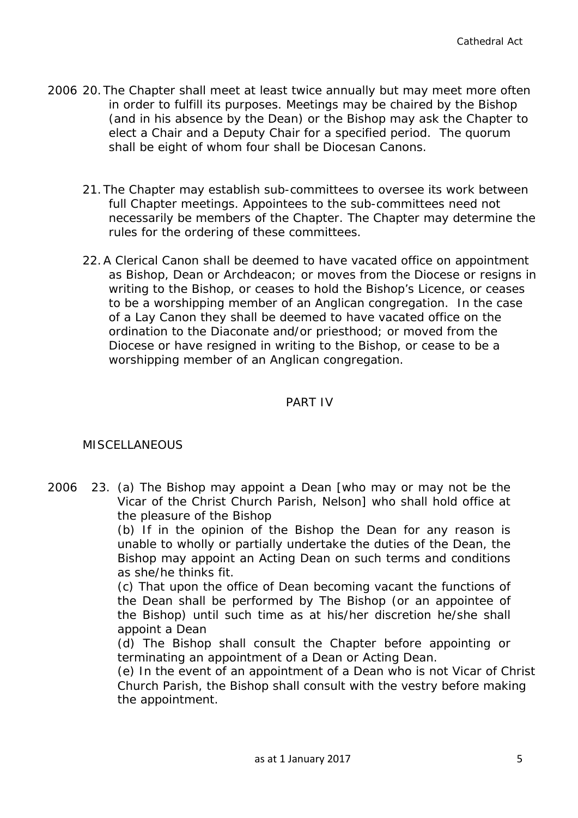- 2006 20.The Chapter shall meet at least twice annually but may meet more often in order to fulfill its purposes. Meetings may be chaired by the Bishop (and in his absence by the Dean) or the Bishop may ask the Chapter to elect a Chair and a Deputy Chair for a specified period. The quorum shall be eight of whom four shall be Diocesan Canons.
	- 21.The Chapter may establish sub-committees to oversee its work between full Chapter meetings. Appointees to the sub-committees need not necessarily be members of the Chapter. The Chapter may determine the rules for the ordering of these committees.
	- 22.A Clerical Canon shall be deemed to have vacated office on appointment as Bishop, Dean or Archdeacon; or moves from the Diocese or resigns in writing to the Bishop, or ceases to hold the Bishop's Licence, or ceases to be a worshipping member of an Anglican congregation. In the case of a Lay Canon they shall be deemed to have vacated office on the ordination to the Diaconate and/or priesthood; or moved from the Diocese or have resigned in writing to the Bishop, or cease to be a worshipping member of an Anglican congregation.

# PART IV

# MISCELLANEOUS

2006 23. (a) The Bishop may appoint a Dean [who may or may not be the Vicar of the Christ Church Parish, Nelson] who shall hold office at the pleasure of the Bishop

> (b) If in the opinion of the Bishop the Dean for any reason is unable to wholly or partially undertake the duties of the Dean, the Bishop may appoint an Acting Dean on such terms and conditions as she/he thinks fit.

> (c) That upon the office of Dean becoming vacant the functions of the Dean shall be performed by The Bishop (or an appointee of the Bishop) until such time as at his/her discretion he/she shall appoint a Dean

> (d) The Bishop shall consult the Chapter before appointing or terminating an appointment of a Dean or Acting Dean.

(e) In the event of an appointment of a Dean who is not Vicar of Christ Church Parish, the Bishop shall consult with the vestry before making the appointment.